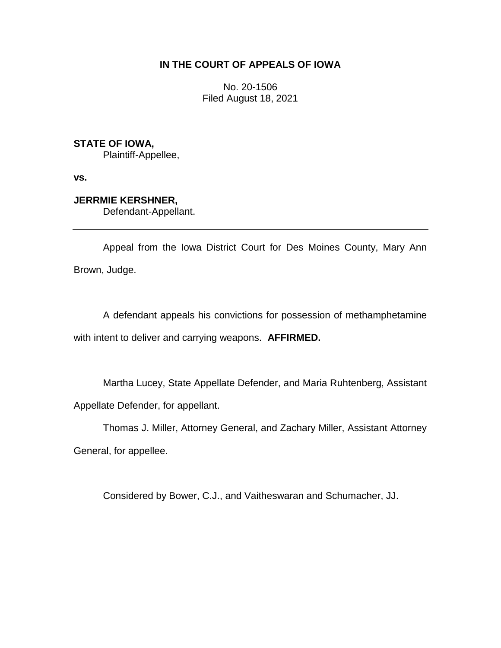## **IN THE COURT OF APPEALS OF IOWA**

No. 20-1506 Filed August 18, 2021

**STATE OF IOWA,**

Plaintiff-Appellee,

**vs.**

# **JERRMIE KERSHNER,**

Defendant-Appellant.

Appeal from the Iowa District Court for Des Moines County, Mary Ann Brown, Judge.

A defendant appeals his convictions for possession of methamphetamine with intent to deliver and carrying weapons. **AFFIRMED.**

Martha Lucey, State Appellate Defender, and Maria Ruhtenberg, Assistant Appellate Defender, for appellant.

Thomas J. Miller, Attorney General, and Zachary Miller, Assistant Attorney General, for appellee.

Considered by Bower, C.J., and Vaitheswaran and Schumacher, JJ.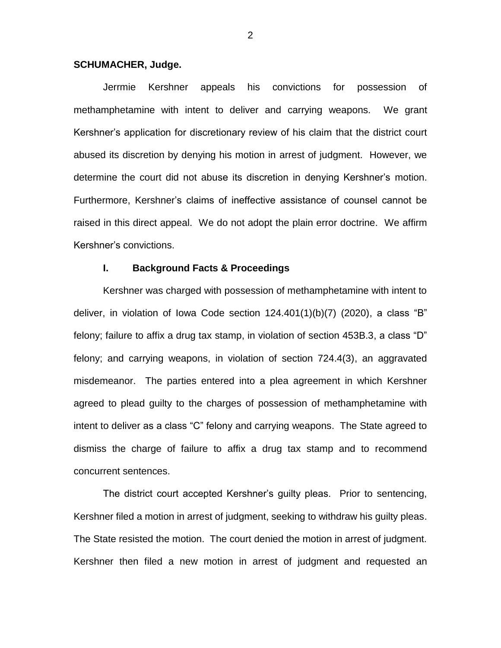#### **SCHUMACHER, Judge.**

Jerrmie Kershner appeals his convictions for possession of methamphetamine with intent to deliver and carrying weapons. We grant Kershner's application for discretionary review of his claim that the district court abused its discretion by denying his motion in arrest of judgment. However, we determine the court did not abuse its discretion in denying Kershner's motion. Furthermore, Kershner's claims of ineffective assistance of counsel cannot be raised in this direct appeal. We do not adopt the plain error doctrine. We affirm Kershner's convictions.

## **I. Background Facts & Proceedings**

Kershner was charged with possession of methamphetamine with intent to deliver, in violation of Iowa Code section 124.401(1)(b)(7) (2020), a class "B" felony; failure to affix a drug tax stamp, in violation of section 453B.3, a class "D" felony; and carrying weapons, in violation of section 724.4(3), an aggravated misdemeanor. The parties entered into a plea agreement in which Kershner agreed to plead guilty to the charges of possession of methamphetamine with intent to deliver as a class "C" felony and carrying weapons. The State agreed to dismiss the charge of failure to affix a drug tax stamp and to recommend concurrent sentences.

The district court accepted Kershner's guilty pleas. Prior to sentencing, Kershner filed a motion in arrest of judgment, seeking to withdraw his guilty pleas. The State resisted the motion. The court denied the motion in arrest of judgment. Kershner then filed a new motion in arrest of judgment and requested an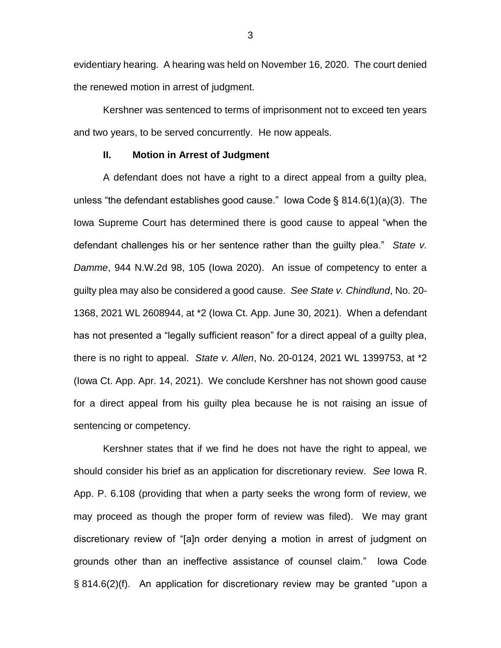evidentiary hearing. A hearing was held on November 16, 2020. The court denied the renewed motion in arrest of judgment.

Kershner was sentenced to terms of imprisonment not to exceed ten years and two years, to be served concurrently. He now appeals.

#### **II. Motion in Arrest of Judgment**

A defendant does not have a right to a direct appeal from a guilty plea, unless "the defendant establishes good cause." Iowa Code § 814.6(1)(a)(3). The Iowa Supreme Court has determined there is good cause to appeal "when the defendant challenges his or her sentence rather than the guilty plea." *State v. Damme*, 944 N.W.2d 98, 105 (Iowa 2020). An issue of competency to enter a guilty plea may also be considered a good cause. *See State v. Chindlund*, No. 20- 1368, 2021 WL 2608944, at \*2 (Iowa Ct. App. June 30, 2021). When a defendant has not presented a "legally sufficient reason" for a direct appeal of a guilty plea, there is no right to appeal. *State v. Allen*, No. 20-0124, 2021 WL 1399753, at \*2 (Iowa Ct. App. Apr. 14, 2021). We conclude Kershner has not shown good cause for a direct appeal from his guilty plea because he is not raising an issue of sentencing or competency.

Kershner states that if we find he does not have the right to appeal, we should consider his brief as an application for discretionary review. *See* Iowa R. App. P. 6.108 (providing that when a party seeks the wrong form of review, we may proceed as though the proper form of review was filed). We may grant discretionary review of "[a]n order denying a motion in arrest of judgment on grounds other than an ineffective assistance of counsel claim." Iowa Code § 814.6(2)(f). An application for discretionary review may be granted "upon a

3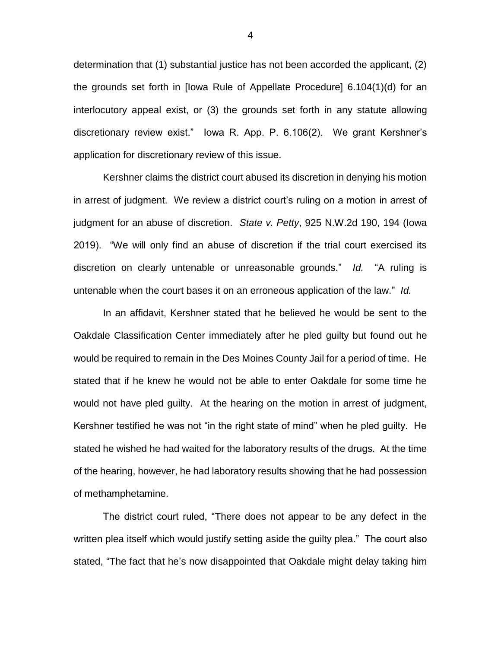determination that (1) substantial justice has not been accorded the applicant, (2) the grounds set forth in [Iowa Rule of Appellate Procedure] 6.104(1)(d) for an interlocutory appeal exist, or (3) the grounds set forth in any statute allowing discretionary review exist." Iowa R. App. P. 6.106(2). We grant Kershner's application for discretionary review of this issue.

Kershner claims the district court abused its discretion in denying his motion in arrest of judgment. We review a district court's ruling on a motion in arrest of judgment for an abuse of discretion. *State v. Petty*, 925 N.W.2d 190, 194 (Iowa 2019). "We will only find an abuse of discretion if the trial court exercised its discretion on clearly untenable or unreasonable grounds." *Id.* "A ruling is untenable when the court bases it on an erroneous application of the law." *Id.*

In an affidavit, Kershner stated that he believed he would be sent to the Oakdale Classification Center immediately after he pled guilty but found out he would be required to remain in the Des Moines County Jail for a period of time. He stated that if he knew he would not be able to enter Oakdale for some time he would not have pled guilty. At the hearing on the motion in arrest of judgment, Kershner testified he was not "in the right state of mind" when he pled guilty. He stated he wished he had waited for the laboratory results of the drugs. At the time of the hearing, however, he had laboratory results showing that he had possession of methamphetamine.

The district court ruled, "There does not appear to be any defect in the written plea itself which would justify setting aside the guilty plea." The court also stated, "The fact that he's now disappointed that Oakdale might delay taking him

4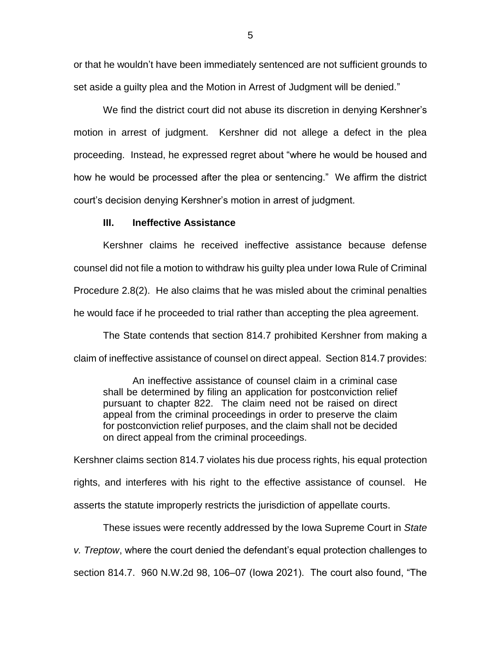or that he wouldn't have been immediately sentenced are not sufficient grounds to set aside a guilty plea and the Motion in Arrest of Judgment will be denied."

We find the district court did not abuse its discretion in denying Kershner's motion in arrest of judgment. Kershner did not allege a defect in the plea proceeding. Instead, he expressed regret about "where he would be housed and how he would be processed after the plea or sentencing." We affirm the district court's decision denying Kershner's motion in arrest of judgment.

## **III. Ineffective Assistance**

Kershner claims he received ineffective assistance because defense counsel did not file a motion to withdraw his guilty plea under Iowa Rule of Criminal Procedure 2.8(2). He also claims that he was misled about the criminal penalties he would face if he proceeded to trial rather than accepting the plea agreement.

The State contends that section 814.7 prohibited Kershner from making a claim of ineffective assistance of counsel on direct appeal. Section 814.7 provides:

An ineffective assistance of counsel claim in a criminal case shall be determined by filing an application for postconviction relief pursuant to chapter 822. The claim need not be raised on direct appeal from the criminal proceedings in order to preserve the claim for postconviction relief purposes, and the claim shall not be decided on direct appeal from the criminal proceedings.

Kershner claims section 814.7 violates his due process rights, his equal protection rights, and interferes with his right to the effective assistance of counsel. He asserts the statute improperly restricts the jurisdiction of appellate courts.

These issues were recently addressed by the Iowa Supreme Court in *State v. Treptow*, where the court denied the defendant's equal protection challenges to section 814.7. 960 N.W.2d 98, 106–07 (Iowa 2021). The court also found, "The

5